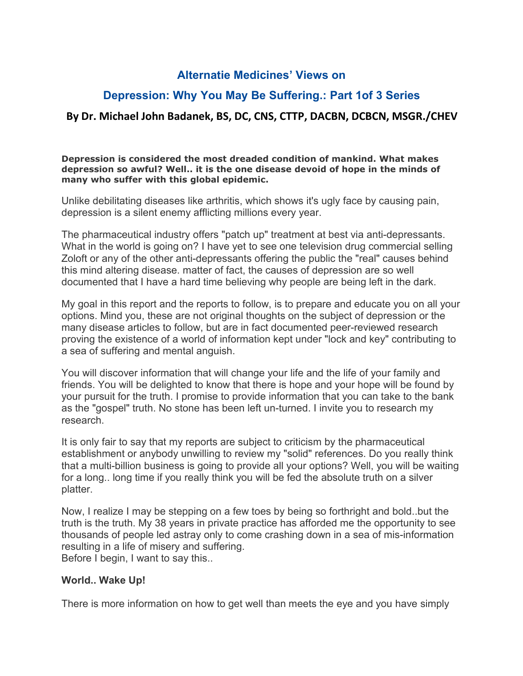## **Alternatie Medicines' Views on**

# **Depression: Why You May Be Suffering.: Part 1of 3 Series**

## **By Dr. Michael John Badanek, BS, DC, CNS, CTTP, DACBN, DCBCN, MSGR./CHEV**

#### **Depression is considered the most dreaded condition of mankind. What makes depression so awful? Well.. it is the one disease devoid of hope in the minds of many who sufferwith this global epidemic.**

Unlike debilitating diseases like arthritis, which shows it's ugly face by causing pain, depression is a silent enemy afflicting millions every year.

The pharmaceutical industry offers "patch up" treatment at best via anti-depressants. What in the world is going on? I have yet to see one television drug commercial selling Zoloft or any of the other anti-depressants offering the public the "real" causes behind this mind altering disease. matter of fact, the causes of depression are so well documented that I have a hard time believing why people are being left in the dark.

My goal in this report and the reports to follow, is to prepare and educate you on all your options. Mind you, these are not original thoughts on the subject of depression or the many disease articles to follow, but are in fact documented peer-reviewed research proving the existence of a world of information kept under "lock and key" contributing to a sea of suffering and mental anguish.

You will discover information that will change your life and the life of your family and friends. You will be delighted to know that there is hope and your hope will be found by your pursuit for the truth. I promise to provide information that you can take to the bank as the "gospel" truth. No stone has been left un-turned. I invite you to research my research.

It is only fair to say that my reports are subject to criticism by the pharmaceutical establishment or anybody unwilling to review my "solid" references. Do you really think that a multi-billion business is going to provide all your options? Well, you will be waiting for a long.. long time if you really think you will be fed the absolute truth on a silver platter.

Now, I realize I may be stepping on a few toes by being so forthright and bold..but the truth is the truth.My 38 years in private practice has afforded me the opportunity to see thousands of people led astray only to come crashing down in a sea of mis-information resulting in a life of misery and suffering. Before I begin, I want to say this..

### **World.. Wake Up!**

There is more information on how to get well than meets the eye and you have simply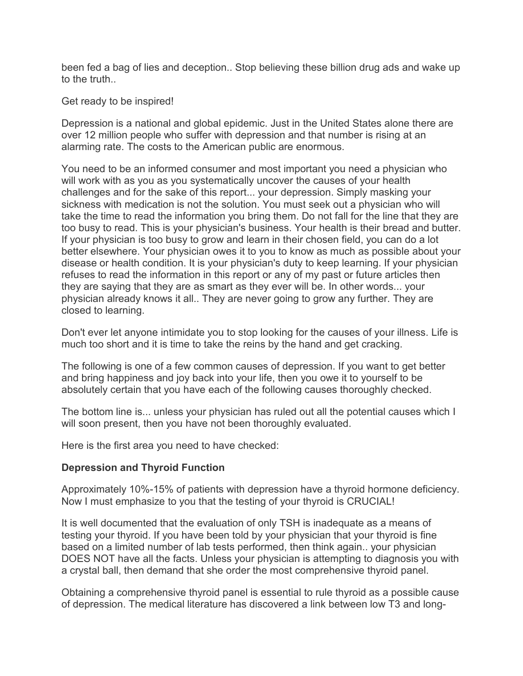been fed a bag of lies and deception.. Stop believing these billion drug ads and wake up to the truth.

Get ready to be inspired!

Depression is a national and global epidemic. Just in the United States alone there are over 12 million people who suffer with depression and that number is rising at an alarming rate. The costs to the American public are enormous.

You need to be an informed consumer and most important you need a physician who will work with as you as you systematically uncover the causes of your health challenges and for the sake of this report... your depression. Simply masking your sickness with medication is not the solution. You must seek out a physician who will take the time to read the information you bring them. Do not fall for the line that they are too busy to read. This is your physician's business. Your health is their bread and butter. If your physician is too busy to grow and learn in their chosen field, you can do a lot better elsewhere. Your physician owes it to you to know as much as possible about your disease or health condition. It is your physician's duty to keep learning. If your physician refuses to read the information in this report or any of my past or future articles then they are saying that they are as smart as they ever will be. In other words... your physician already knows it all.. They are never going to grow any further. They are closed to learning.

Don't ever let anyone intimidate you to stop looking for the causes of your illness. Life is much too short and it is time to take the reins by the hand and get cracking.

The following is one of a few common causes of depression. If you want to get better and bring happiness and joy back into your life, then you owe it to yourself to be absolutely certain that you have each of the following causes thoroughly checked.

The bottom line is... unless your physician has ruled out all the potential causes which I will soon present, then you have not been thoroughly evaluated.

Here is the first area you need to have checked:

### **Depression and Thyroid Function**

Approximately 10%-15% of patients with depression have a thyroid hormone deficiency. Now I must emphasize to you that the testing of your thyroid is CRUCIAL!

It is well documented that the evaluation of only TSH is inadequate as a means of testing your thyroid. If you have been told by your physician that your thyroid is fine based on a limited number of lab tests performed, then think again.. your physician DOES NOT have all the facts. Unless your physician is attempting to diagnosis you with a crystal ball, then demand that she order the most comprehensive thyroid panel.

Obtaining a comprehensive thyroid panel is essential to rule thyroid as a possible cause of depression. The medical literature has discovered a link between low T3 and long